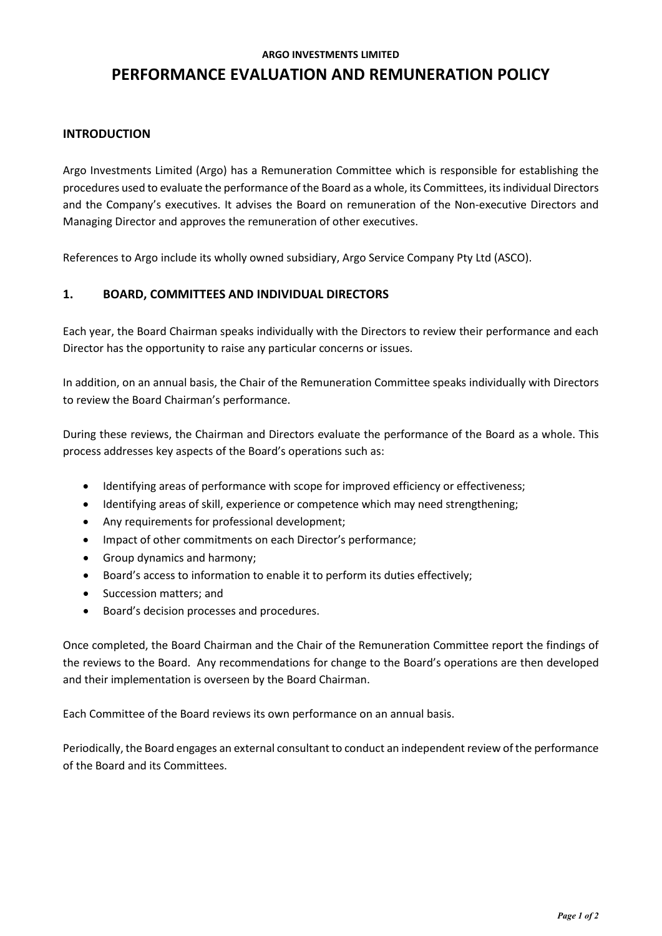#### **ARGO INVESTMENTS LIMITED**

# **PERFORMANCE EVALUATION AND REMUNERATION POLICY**

### **INTRODUCTION**

Argo Investments Limited (Argo) has a Remuneration Committee which is responsible for establishing the procedures used to evaluate the performance of the Board as a whole, its Committees, its individual Directors and the Company's executives. It advises the Board on remuneration of the Non-executive Directors and Managing Director and approves the remuneration of other executives.

References to Argo include its wholly owned subsidiary, Argo Service Company Pty Ltd (ASCO).

## **1. BOARD, COMMITTEES AND INDIVIDUAL DIRECTORS**

Each year, the Board Chairman speaks individually with the Directors to review their performance and each Director has the opportunity to raise any particular concerns or issues.

In addition, on an annual basis, the Chair of the Remuneration Committee speaks individually with Directors to review the Board Chairman's performance.

During these reviews, the Chairman and Directors evaluate the performance of the Board as a whole. This process addresses key aspects of the Board's operations such as:

- Identifying areas of performance with scope for improved efficiency or effectiveness;
- Identifying areas of skill, experience or competence which may need strengthening;
- Any requirements for professional development;
- Impact of other commitments on each Director's performance;
- Group dynamics and harmony;
- Board's access to information to enable it to perform its duties effectively;
- Succession matters; and
- Board's decision processes and procedures.

Once completed, the Board Chairman and the Chair of the Remuneration Committee report the findings of the reviews to the Board. Any recommendations for change to the Board's operations are then developed and their implementation is overseen by the Board Chairman.

Each Committee of the Board reviews its own performance on an annual basis.

Periodically, the Board engages an external consultant to conduct an independent review of the performance of the Board and its Committees.